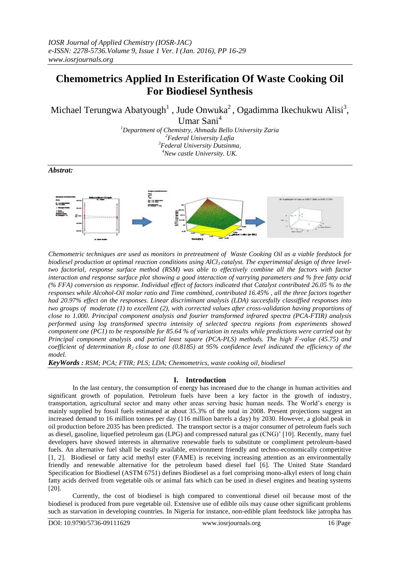# **Chemometrics Applied In Esterification Of Waste Cooking Oil For Biodiesel Synthesis**

Michael Terungwa Abatyough<sup>1</sup>, Jude Onwuka<sup>2</sup>, Ogadimma Ikechukwu Alisi<sup>3</sup>, Umar Sani<sup>4</sup>

*Department of Chemistry, Ahmadu Bello University Zaria Federal University Lafia Federal University Dutsinma, New castle University. UK.*

*Abstrat:*



*Chemometric techniques are used as monitors in pretreatment of Waste Cooking Oil as a viable feedstock for biodiesel production at optimal reaction conditions using AlCl<sup>3</sup> catalyst. The experimental design of three leveltwo factorial, response surface method (RSM) was able to effectively combine all the factors with factor interaction and response surface plot showing a good interaction of varrying parameters and % free fatty acid (% FFA) conversion as response. Individual effect of factors indicated that Catalyst contributed 26.05 % to the responses while Alcohol-Oil molar ratio and Time combined, contributed 16.45%, all the three factors together had 20.97% effect on the responses. Linear discriminant analysis (LDA) succesfully classiffied responses into two groups of moderate (1) to excellent (2), with corrected values after cross-validation having proportions of close to 1.000. Principal component analysis and fourier transformed infrared spectra (PCA-FTIR) analysis performed using log transformed spectra intensity of selected spectra regions from experiments showed component one (PC1) to be responsible for 85.64 % of variation in results while predictions were carried out by Principal component analysis and partial least square (PCA-PLS) methods. The high F-value (45.75) and coefficient of determination R<sup>2</sup> close to one (0.8185) at 95% confidence level indicated the efficiency of the model.*

*KeyWords : RSM; PCA; FTIR; PLS; LDA; Chemometrics, waste cooking oil, biodiesel*

## **I. Introduction**

In the last century, the consumption of energy has increased due to the change in human activities and significant growth of population. Petroleum fuels have been a key factor in the growth of industry, transportation, agricultural sector and many other areas serving basic human needs. The World's energy is mainly supplied by fossil fuels estimated at about 35.3% of the total in 2008. Present projections suggest an increased demand to 16 million tonnes per day (116 million barrels a day) by 2030. However, a global peak in oil production before 2035 has been predicted. The transport sector is a major consumer of petroleum fuels such as diesel, gasoline, liquefied petroleum gas (LPG) and compressed natural gas (CNG)' [10]. Recently, many fuel developers have showed interests in alternative renewable fuels to substitute or compliment petroleum-based fuels. An alternative fuel shall be easily available, environment friendly and techno-economically competitive [1, 2]. Biodiesel or fatty acid methyl ester (FAME) is receiving increasing attention as an environmentally friendly and renewable alternative for the petroleum based diesel fuel [6]. The United State Standard Specification for Biodiesel (ASTM 6751) defines Biodiesel as a fuel comprising mono-alkyl esters of long chain fatty acids derived from vegetable oils or animal fats which can be used in diesel engines and heating systems [20].

Currently, the cost of biodiesel is high compared to conventional diesel oil because most of the biodiesel is produced from pure vegetable oil. Extensive use of edible oils may cause other significant problems such as starvation in developing countries. In Nigeria for instance, non-edible plant feedstock like jatropha has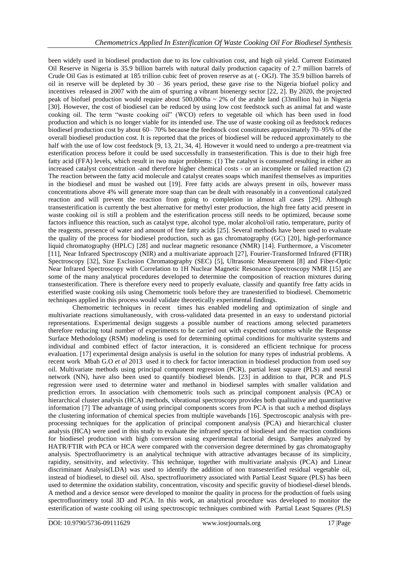been widely used in biodiesel production due to its low cultivation cost, and high oil yield. Current Estimated Oil Reserve in Nigeria is 35.9 billion barrels with natural daily production capacity of 2.7 million barrels of Crude Oil Gas is estimated at 185 trillion cubic feet of proven reserve as at (- OGJ). The 35.9 billion barrels of oil in reserve will be depleted by  $30 - 36$  years period, these gave rise to the Nigeria biofuel policy and incentives released in 2007 with the aim of spurring a vibrant bioenergy sector [22, 2]. By 2020, the projected peak of biofuel production would require about  $500,000$ ha ~ 2% of the arable land (33million ha) in Nigeria [30]. However, the cost of biodiesel can be reduced by using low cost feedstock such as animal fat and waste cooking oil. The term "waste cooking oil" (WCO) refers to vegetable oil which has been used in food production and which is no longer viable for its intended use. The use of waste cooking oil as feedstock reduces biodiesel production cost by about 60– 70% because the feedstock cost constitutes approximately 70–95% of the overall biodiesel production cost. It is reported that the prices of biodiesel will be reduced approximately to the half with the use of low cost feedstock [9, 13, 21, 34, 4]. However it would need to undergo a pre-treatment via esterification process before it could be used successfully in transesterification. This is due to their high free fatty acid (FFA) levels, which result in two major problems: (1) The catalyst is consumed resulting in either an increased catalyst concentration -and therefore higher chemical costs - or an incomplete or failed reaction (2) The reaction between the fatty acid molecule and catalyst creates soaps which manifest themselves as impurities in the biodiesel and must be washed out [19]. Free fatty acids are always present in oils, however mass concentrations above 4% will generate more soap than can be dealt with reasonably in a conventional catalyzed reaction and will prevent the reaction from going to completion in almost all cases [29]. Although transesterification is currently the best alternative for methyl ester production, the high free fatty acid present in waste cooking oil is still a problem and the esterification process still needs to be optimized, because some factors influence this reaction, such as catalyst type, alcohol type, molar alcohol/oil ratio, temperature, purity of the reagents, presence of water and amount of free fatty acids [25]. Several methods have been used to evaluate the quality of the process for biodiesel production, such as gas chromatography (GC) [20], high-performance liquid chromatography (HPLC) [28] and nuclear magnetic resonance (NMR) [14]. Furthermore, a Viscometer [11], Near Infrared Spectroscopy (NIR) and a multivariate approach [27], Fourier-Transformed Infrared (FTIR) Spectroscopy [32], Size Exclusion Chromatography (SEC) [5], Ultrasonic Measurement [8] and Fiber-Optic Near Infrared Spectroscopy with Correlation to 1H Nuclear Magnetic Resonance Spectroscopy NMR [15] are some of the many analytical procedures developed to determine the composition of reaction mixtures during transesterification. There is therefore every need to properly evaluate, classify and quantify free fatty acids in esterified waste cooking oils using Chemometric tools before they are tranesterified to biodiesel. Chemometric techniques applied in this process would validate theoretically experimental findings.

Chemometric techniques in recent times has enabled modeling and optimization of single and multivariate reactions simultaneously, with cross-validated data presented in an easy to understand pictorial representations. Experimental design suggests a possible number of reactions among selected parameters therefore reducing total number of experiments to be carried out with expected outcomes while the Response Surface Methodology (RSM) modeling is used for determining optimal conditions for multivarite systems and individual and combined effect of factor interaction, it is considered an efficient technique for process evaluation. [17] experimental design analysis is useful in the solution for many types of industrial problems. A recent work Mbah G.O *et al* 2013 used it to check for factor interaction in biodiesel production from used soy oil. Multivariate methods using principal component regression (PCR), partial least square (PLS) and neural network (NN), have also been used to quantify biodiesel blends. [23] in addition to that, PCR and PLS regression were used to determine water and methanol in biodiesel samples with smaller validation and prediction errors. In association with chemometric tools such as principal component analysis (PCA) or hierarchical cluster analysis (HCA) methods, vibrational spectroscopy provides both qualitative and quantitative information [7] The advantage of using principal components scores from PCA is that such a method displays the clustering information of chemical species from multiple wavebands [16]. Spectroscopic analysis with preprocessing techniques for the application of principal component analysis (PCA) and hierarchical cluster analysis (HCA) were used in this study to evaluate the infrared spectra of biodiesel and the reaction conditions for biodiesel production with high conversion using experimental factorial design. Samples analyzed by HATR/FTIR with PCA or HCA were compared with the conversion degree determined by gas chromatography analysis. Spectrofluorimetry is an analytical technique with attractive advantages because of its simplicity, rapidity, sensitivity, and selectivity. This technique, together with multivariate analysis (PCA) and Linear discriminant Analysis(LDA) was used to identify the addition of non transesterified residual vegetable oil, instead of biodiesel, to diesel oil. Also, spectrofluorimetry associated with Partial Least Square (PLS) has been used to determine the oxidation stability, concentration, viscosity and specific gravity of biodiesel-diesel blends. A method and a device sensor were developed to monitor the quality in process for the production of fuels using spectrofluorimetry total 3D and PCA. In this work, an analytical procedure was developed to monitor the esterification of waste cooking oil using spectroscopic techniques combined with Partial Least Squares (PLS)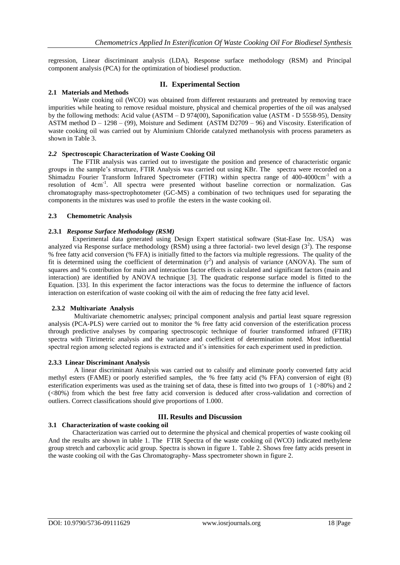regression, Linear discriminant analysis (LDA), Response surface methodology (RSM) and Principal component analysis (PCA) for the optimization of biodiesel production.

## **II. Experimental Section**

## **2.1 Materials and Methods**

Waste cooking oil (WCO) was obtained from different restaurants and pretreated by removing trace impurities while heating to remove residual moisture, physical and chemical properties of the oil was analysed by the following methods: Acid value (ASTM – D 974(00), Saponification value (ASTM - D 5558-95), Density ASTM method D – 1298 – (99), Moisture and Sediment (ASTM D2709 – 96) and Viscosity. Esterification of waste cooking oil was carried out by Aluminium Chloride catalyzed methanolysis with process parameters as shown in Table 3.

#### **2.***2* **Spectroscopic Characterization of Waste Cooking Oil**

The FTIR analysis was carried out to investigate the position and presence of characteristic organic groups in the sample's structure, FTIR Analysis was carried out using KBr. The spectra were recorded on a Shimadzu Fourier Transform Infrared Spectrometer (FTIR) within spectra range of 400-4000cm<sup>-1</sup> with a resolution of 4cm<sup>-1</sup>. All spectra were presented without baseline correction or normalization. Gas chromatography mass-spectrophotometer (GC-MS) a combination of two techniques used for separating the components in the mixtures was used to profile the esters in the waste cooking oil.

#### **2.3 Chemometric Analysis**

#### **2.3.1** *Response Surface Methodology (RSM)*

Experimental data generated using Design Expert statistical software (Stat-Ease Inc. USA) was analyzed via Response surface methodology (RSM) using a three factorial- two level design  $(3^2)$ . The response % free fatty acid conversion (% FFA) is initially fitted to the factors via multiple regressions. The quality of the fit is determined using the coefficient of determination  $(r^2)$  and analysis of variance (ANOVA). The sum of squares and % contribution for main and interaction factor effects is calculated and significant factors (main and interaction) are identified by ANOVA technique [3]. The quadratic response surface model is fitted to the Equation. [33]. In this experiment the factor interactions was the focus to determine the influence of factors interaction on esterifcation of waste cooking oil with the aim of reducing the free fatty acid level.

#### **2.3.2 Multivariate Analysis**

Multivariate chemometric analyses; principal component analysis and partial least square regression analysis (PCA-PLS) were carried out to monitor the % free fatty acid conversion of the esterification process through predictive analyses by comparing spectroscopic technique of fourier transformed infrared (FTIR) spectra with Titrimetric analysis and the variance and coefficient of determination noted. Most influential spectral region among selected regions is extracted and it's intensities for each experiment used in prediction.

#### **2.3.3 Linear Discriminant Analysis**

A linear discriminant Analysis was carried out to calssify and eliminate poorly converted fatty acid methyl esters (FAME) or poorly esterified samples, the % free fatty acid (% FFA) conversion of eight (8) esterification experiments was used as the training set of data, these is fitted into two groups of 1 (>80%) and 2 (<80%) from which the best free fatty acid conversion is deduced after cross-validation and correction of outliers. Correct classifications should give proportions of 1.000.

## **III. Results and Discussion**

## **3.1 Characterization of waste cooking oil**

Characterization was carried out to determine the physical and chemical properties of waste cooking oil And the results are shown in table 1. The FTIR Spectra of the waste cooking oil (WCO) indicated methylene group stretch and carboxylic acid group. Spectra is shown in figure 1. Table 2. Shows free fatty acids present in the waste cooking oil with the Gas Chromatography- Mass spectrometer shown in figure 2.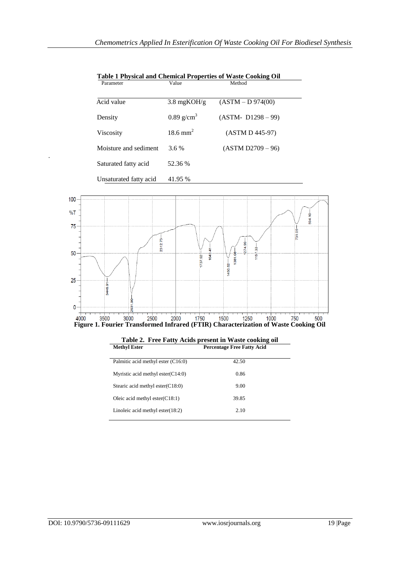|   | Parameter              | Value                    | Method                |
|---|------------------------|--------------------------|-----------------------|
|   | Acid value             | $3.8 \text{ mgKOH/g}$    | (ASTM – D 974(00))    |
|   | Density                | $0.89$ g/cm <sup>3</sup> | $(ASTM - D1298 - 99)$ |
|   | Viscosity              | $18.6$ mm <sup>2</sup>   | (ASTM D 445-97)       |
|   | Moisture and sediment  | $3.6\%$                  | (ASTM D2709 – 96)     |
| ٠ | Saturated fatty acid   | 52.36 %                  |                       |
|   | Unsaturated fatty acid | 41.95 %                  |                       |

 **Table 1 Physical and Chemical Properties of Waste Cooking Oil**  Parameter **Value** Value Method



| <b>Methyl Ester</b>                  | <b>Percentage Free Fatty Acid</b> |
|--------------------------------------|-----------------------------------|
| Palmitic acid methyl ester (C16:0)   | 42.50                             |
| Myristic acid methyl ester $(C14:0)$ | 0.86                              |
| Stearic acid methyl ester $(C18:0)$  | 9.00                              |
| Oleic acid methyl ester $(C18:1)$    | 39.85                             |
| Linoleic acid methyl ester $(18:2)$  | 2.10                              |

**Table 2. Free Fatty Acids present in Waste cooking oil**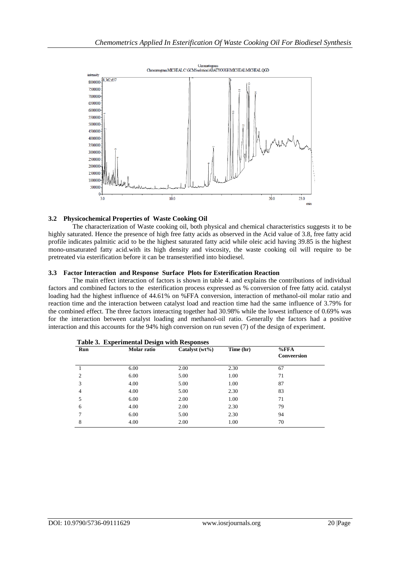

#### **3.2 Physicochemical Properties of Waste Cooking Oil**

The characterization of Waste cooking oil, both physical and chemical characteristics suggests it to be highly saturated. Hence the presence of high free fatty acids as observed in the Acid value of 3.8, free fatty acid profile indicates palmitic acid to be the highest saturated fatty acid while oleic acid having 39.85 is the highest mono-unsaturated fatty acid.with its high density and viscosity, the waste cooking oil will require to be pretreated via esterification before it can be transesterified into biodiesel.

#### **3.3 Factor Interaction and Response Surface Plots for Esterification Reaction**

The main effect interaction of factors is shown in table 4. and explains the contributions of individual factors and combined factors to the esterification process expressed as % conversion of free fatty acid. catalyst loading had the highest influence of 44.61% on %FFA conversion, interaction of methanol-oil molar ratio and reaction time and the interaction between catalyst load and reaction time had the same influence of 3.79% for the combined effect. The three factors interacting together had 30.98% while the lowest influence of 0.69% was for the interaction between catalyst loading and methanol-oil ratio. Generally the factors had a positive interaction and this accounts for the 94% high conversion on run seven (7) of the design of experiment.

| Run | Molar ratio | Catalyst $(wt\%)$ | Time (hr) | $%$ FFA<br>Conveersion |
|-----|-------------|-------------------|-----------|------------------------|
|     | 6.00        | 2.00              | 2.30      | 67                     |
| 2   | 6.00        | 5.00              | 1.00      | 71                     |
| 3   | 4.00        | 5.00              | 1.00      | 87                     |
| 4   | 4.00        | 5.00              | 2.30      | 83                     |
| 5   | 6.00        | 2.00              | 1.00      | 71                     |
| 6   | 4.00        | 2.00              | 2.30      | 79                     |
| 7   | 6.00        | 5.00              | 2.30      | 94                     |
| 8   | 4.00        | 2.00              | 1.00      | 70                     |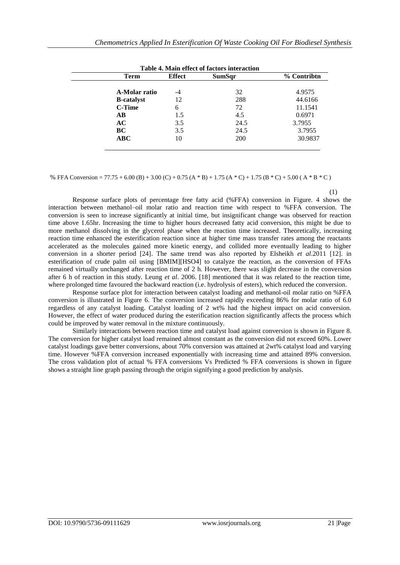|                    |               | Table 4. Main effect of factors interaction |             |
|--------------------|---------------|---------------------------------------------|-------------|
| Term               | <b>Effect</b> | SumSqr                                      | % Contribtn |
|                    |               |                                             |             |
| A-Molar ratio      | -4            | 32                                          | 4.9575      |
| <b>B</b> -catalyst | 12            | 288                                         | 44.6166     |
| <b>C-Time</b>      | 6             | 72                                          | 11.1541     |
| $\bf AB$           | 1.5           | 4.5                                         | 0.6971      |
| AC                 | 3.5           | 24.5                                        | 3.7955      |
| BC                 | 3.5           | 24.5                                        | 3.7955      |
| ABC                | 10            | <b>200</b>                                  | 30.9837     |

% FFA Conversion = 77.75 + 6.00 (B) + 3.00 (C) + 0.75 (A  $*$  B) + 1.75 (A  $*$  C) + 1.75 (B  $*$  C) + 5.00 (A  $*$  B  $*$  C)

 (1) Response surface plots of percentage free fatty acid (%FFA) conversion in Figure. 4 shows the interaction between methanol–oil molar ratio and reaction time with respect to %FFA conversion. The conversion is seen to increase significantly at initial time, but insignificant change was observed for reaction time above 1.65hr. Increasing the time to higher hours decreased fatty acid conversion, this might be due to more methanol dissolving in the glycerol phase when the reaction time increased. Theoretically, increasing reaction time enhanced the esterification reaction since at higher time mass transfer rates among the reactants accelerated as the molecules gained more kinetic energy, and collided more eventually leading to higher conversion in a shorter period [24]. The same trend was also reported by Elsheikh *et al*.2011 [12]. in esterification of crude palm oil using [BMIM][HSO4] to catalyze the reaction, as the conversion of FFAs remained virtually unchanged after reaction time of 2 h. However, there was slight decrease in the conversion after 6 h of reaction in this study. Leung *et al*. 2006. [18] mentioned that it was related to the reaction time, where prolonged time favoured the backward reaction (i.e. hydrolysis of esters), which reduced the conversion.

Response surface plot for interaction between catalyst loading and methanol-oil molar ratio on %FFA conversion is illustrated in Figure 6. The conversion increased rapidly exceeding 86% for molar ratio of 6.0 regardless of any catalyst loading. Catalyst loading of 2 wt% had the highest impact on acid conversion. However, the effect of water produced during the esterification reaction significantly affects the process which could be improved by water removal in the mixture continuously.

Similarly interactions between reaction time and catalyst load against conversion is shown in Figure 8. The conversion for higher catalyst load remained almost constant as the conversion did not exceed 60%. Lower catalyst loadings gave better conversions, about 70% conversion was attained at 2wt% catalyst load and varying time. However %FFA conversion increased exponentially with increasing time and attained 89% conversion. The cross validation plot of actual % FFA conversions Vs Predicted % FFA conversions is shown in figure shows a straight line graph passing through the origin signifying a good prediction by analysis.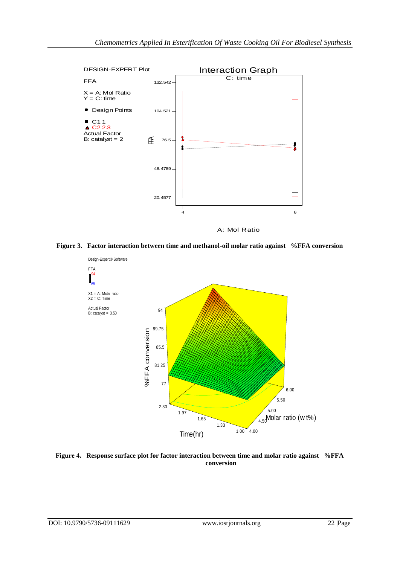

A: Mol Ratio

**Figure 3. Factor interaction between time and methanol-oil molar ratio against %FFA conversion**



**Figure 4. Response surface plot for factor interaction between time and molar ratio against %FFA conversion**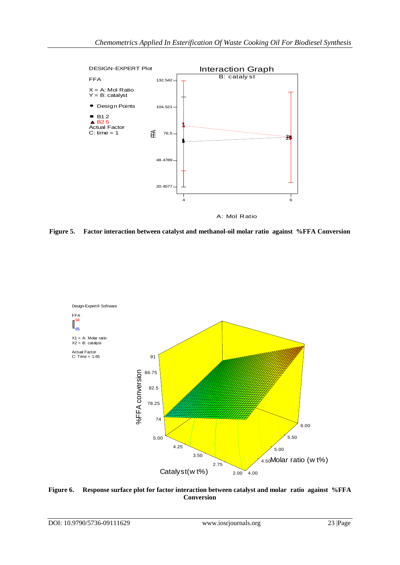

**Figure 5. Factor interaction between catalyst and methanol-oil molar ratio against %FFA Conversion**



**Figure 6. Response surface plot for factor interaction between catalyst and molar ratio against %FFA Conversion**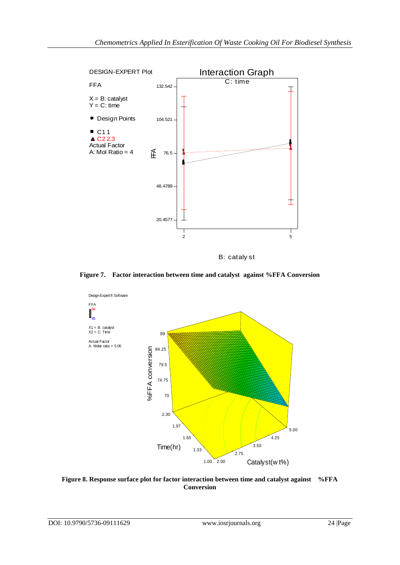

B: cataly st

**Figure 7. Factor interaction between time and catalyst against %FFA Conversion**



**Figure 8. Response surface plot for factor interaction between time and catalyst against %FFA Conversion**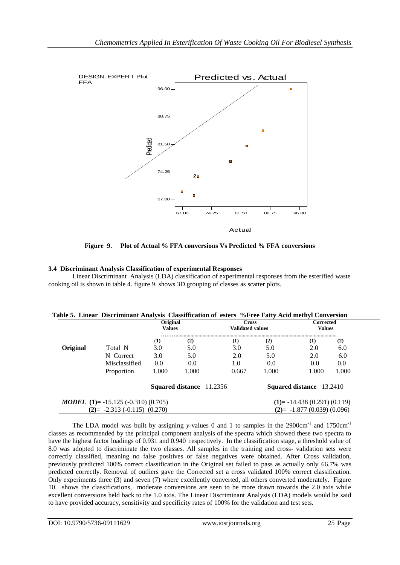

**Figure 9. Plot of Actual % FFA conversions Vs Predicted % FFA conversions**

## **3.4 Discriminant Analysis Classification of experimental Responses**

Linear Discriminant Analysis (LDA) classification of experimental responses from the esterified waste cooking oil is shown in table 4. figure 9. shows 3D grouping of classes as scatter plots.

|          |                                                  | Original<br><b>Values</b> |       | <b>Validated values</b>         | <b>Cross</b> | <b>Corrected</b><br><b>Values</b> |       |
|----------|--------------------------------------------------|---------------------------|-------|---------------------------------|--------------|-----------------------------------|-------|
|          |                                                  | (1)                       | (2)   | (1)                             | (2)          | $\bf(1)$                          | (2)   |
| Original | Total N                                          | 3.0                       | 5.0   | 3.0                             | 5.0          | 2.0                               | 6.0   |
|          | N Correct                                        | 3.0                       | 5.0   | 2.0                             | 5.0          | 2.0                               | 6.0   |
|          | Misclassified                                    | 0.0                       | 0.0   | 1.0                             | 0.0          | 0.0                               | 0.0   |
|          | Proportion                                       | 1.000                     | 1.000 | 0.667                           | 1.000        | 1.000                             | 1.000 |
|          |                                                  |                           |       | <b>Squared distance</b> 11.2356 |              | Squared distance 13.2410          |       |
|          | <b>MODEL</b> (1)= $-15.125$ ( $-0.310$ ) (0.705) |                           |       |                                 |              | $(1)$ = -14.438 (0.291) (0.119)   |       |
|          | $(2) = -2.313 (-0.115) (0.270)$                  |                           |       |                                 |              | $(2) = -1.877(0.039)(0.096)$      |       |

| Table 5. Linear Discriminant Analysis Classiffication of esters %Free Fatty Acid methyl Conversion |  |  |
|----------------------------------------------------------------------------------------------------|--|--|
|----------------------------------------------------------------------------------------------------|--|--|

The LDA model was built by assigning *y*-values 0 and 1 to samples in the 2900cm<sup>-1</sup> and 1750cm<sup>-1</sup> classes as recommended by the principal component analysis of the spectra which showed these two spectra to have the highest factor loadings of 0.931 and 0.940 respectively. In the classification stage, a threshold value of 8.0 was adopted to discriminate the two classes. All samples in the training and cross- validation sets were correctly classified, meaning no false positives or false negatives were obtained. After Cross validation, previously predicted 100% correct classification in the Original set failed to pass as actually only 66.7% was predicted correctly. Removal of outliers gave the Corrected set a cross validated 100% correct classification. Only experiments three (3) and seven (7) where excellently converted, all others converted moderately. Figure 10. shows the classifications, moderate conversions are seen to be more drawn towards the 2.0 axis while excellent conversions held back to the 1.0 axis. The Linear Discriminant Analysis (LDA) models would be said to have provided accuracy, sensitivity and specificity rates of 100% for the validation and test sets.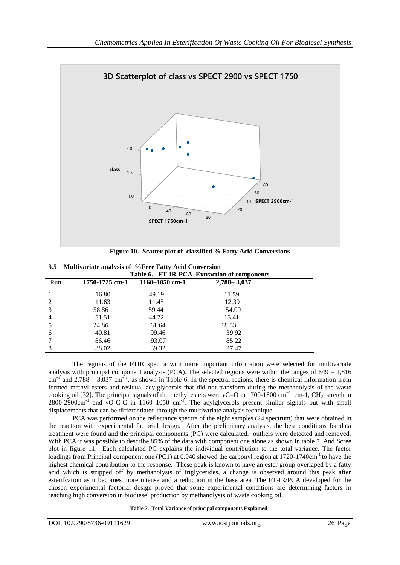

**Figure 10. Scatter plot of classified % Fatty Acid Conversions**

| 3.5 Multivariate analysis of %Free Fatty Acid Conversion |                                             |  |  |  |
|----------------------------------------------------------|---------------------------------------------|--|--|--|
|                                                          | Table 6. FT-IR-PCA Extraction of components |  |  |  |

|     | Table 0. FI-IN-I CA EXUAÇION OI COMPONENTS |                    |                 |  |  |  |
|-----|--------------------------------------------|--------------------|-----------------|--|--|--|
| Run | 1750-1725 cm-1                             | $1160 - 1050$ cm-1 | $2,788 - 3,037$ |  |  |  |
|     | 16.80                                      | 49.19              | 11.59           |  |  |  |
| 2   | 11.63                                      | 11.45              | 12.39           |  |  |  |
| 3   | 58.86                                      | 59.44              | 54.09           |  |  |  |
| 4   | 51.51                                      | 44.72              | 15.41           |  |  |  |
| 5   | 24.86                                      | 61.64              | 18.33           |  |  |  |
| 6   | 40.81                                      | 99.46              | 39.92           |  |  |  |
|     | 86.46                                      | 93.07              | 85.22           |  |  |  |
| 8   | 38.02                                      | 39.32              | 27.47           |  |  |  |

The regions of the FTIR spectra with more important information were selected for multivariate analysis with principal component analysis (PCA). The selected regions were within the ranges of  $649 - 1,816$ cm<sup>-1</sup> and 2,788 – 3,037 cm<sup>-1</sup>, as shown in Table 6. In the spectral regions, there is chemical information from formed methyl esters and residual acylglycerols that did not transform during the methanolysis of the waste cooking oil [32]. The principal signals of the methyl esters were *v*C=O in 1700-1800 cm<sup>-1</sup> cm-1, CH<sub>2</sub> stretch in  $2800-2900 \text{cm}^{-1}$  and  $\overline{v}$ O-C-C in 1160–1050 cm<sup>-1</sup>. The acylglycerols present similar signals but with small displacements that can be differentiated through the multivariate analysis technique.

PCA was performed on the reflectance spectra of the eight samples (24 spectrum) that were obtained in the reaction with experimental factorial design. After the preliminary analysis, the best conditions for data treatment were found and the principal components (PC) were calculated. outliers were detected and removed. With PCA it was possible to describe 85% of the data with component one alone as shown in table 7. And Scree plot in figure 11. Each calculated PC explains the individual contribution to the total variance. The factor loadings from Principal component one (PC1) at 0.940 showed the carbonyl region at 1720-1740cm<sup>-1</sup> to have the highest chemical contribution to the response. These peak is known to have an ester group overlaped by a fatty acid which is stripped off by methanolysis of triglycerides, a change is observed around this peak after esterifcation as it becomes more intense and a reduction in the base area. The FT-IR/PCA developed for the chosen experimental factorial design proved that some experimental conditions are determining factors in reaching high conversion in biodiesel production by methanolysis of waste cooking oil.

**Table 7. Total Variance of principal components Explained**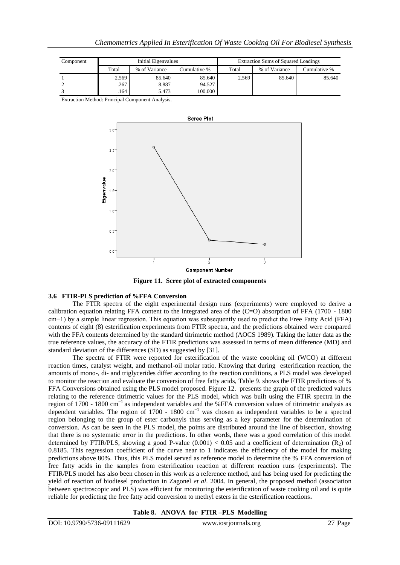| Component | Initial Eigenvalues |               |              |       | <b>Extraction Sums of Squared Loadings</b> |              |
|-----------|---------------------|---------------|--------------|-------|--------------------------------------------|--------------|
|           | Total               | % of Variance | Cumulative % | Total | % of Variance                              | Cumulative % |
|           | 2.569               | 85.640        | 85.640       | 2.569 | 85.640                                     | 85.640       |
|           | .267                | 8.887         | 94.527       |       |                                            |              |
|           | .164                | 5.473         | 100.000      |       |                                            |              |

Extraction Method: Principal Component Analysis.



**Figure 11. Scree plot of extracted components**

## **3.6 FTIR-PLS prediction of %FFA Conversion**

The FTIR spectra of the eight experimental design runs (experiments) were employed to derive a calibration equation relating FFA content to the integrated area of the (C=O) absorption of FFA (1700 - 1800 cm−1) by a simple linear regression. This equation was subsequently used to predict the Free Fatty Acid (FFA) contents of eight (8) esterification experiments from FTIR spectra, and the predictions obtained were compared with the FFA contents determined by the standard titrimetric method (AOCS 1989). Taking the latter data as the true reference values, the accuracy of the FTIR predictions was assessed in terms of mean difference (MD) and standard deviation of the differences (SD) as suggested by [31].

The spectra of FTIR were reported for esterification of the waste coooking oil (WCO) at different reaction times, catalyst weight, and methanol-oil molar ratio. Knowing that during esterification reaction, the amounts of mono-, di- and triglycerides differ according to the reaction conditions, a PLS model was developed to monitor the reaction and evaluate the conversion of free fatty acids, Table 9. shows the FTIR predictions of % FFA Conversions obtained using the PLS model proposed. Figure 12. presents the graph of the predicted values relating to the reference titrimetric values for the PLS model, which was built using the FTIR spectra in the region of 1700 - 1800 cm−1 as independent variables and the %FFA conversion values of titrimetric analysis as dependent variables. The region of 1700 - 1800 cm−1 was chosen as independent variables to be a spectral region belonging to the group of ester carbonyls thus serving as a key parameter for the determination of conversion. As can be seen in the PLS model, the points are distributed around the line of bisection, showing that there is no systematic error in the predictions. In other words, there was a good correlation of this model determined by FTIR/PLS, showing a good P-value  $(0.001) < 0.05$  and a coefficient of determination  $(R_2)$  of 0.8185. This regression coefficient of the curve near to 1 indicates the efficiency of the model for making predictions above 80%. Thus, this PLS model served as reference model to determine the % FFA conversion of free fatty acids in the samples from esterification reaction at different reaction runs (experiments). The FTIR/PLS model has also been chosen in this work as a reference method, and has being used for predicting the yield of reaction of biodiesel production in Zagonel *et al*. 2004. In general, the proposed method (association between spectroscopic and PLS) was efficient for monitoring the esterification of waste cooking oil and is quite reliable for predicting the free fatty acid conversion to methyl esters in the esterification reactions**.** 

## **Table 8. ANOVA for FTIR –PLS Modelling**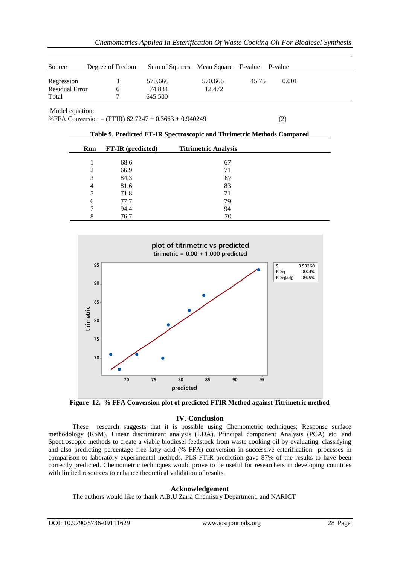| Source                | Degree of Fredom | Sum of Squares Mean Square F-value P-value |         |       |       |
|-----------------------|------------------|--------------------------------------------|---------|-------|-------|
| Regression            |                  | 570.666                                    | 570.666 | 45.75 | 0.001 |
| <b>Residual Error</b> |                  | 74.834                                     | 12.472  |       |       |
| Total                 |                  | 645.500                                    |         |       |       |

Model equation:

%FFA Conversion = (FTIR)  $62.7247 + 0.3663 + 0.940249$  (2)

| Run            | FT-IR (predicted) | <b>Titrimetric Analysis</b> |  |
|----------------|-------------------|-----------------------------|--|
|                | 68.6              | 67                          |  |
| 2              | 66.9              | 71                          |  |
| 3              | 84.3              | 87                          |  |
| $\overline{4}$ | 81.6              | 83                          |  |
|                | 71.8              | 71                          |  |
| 6              | 77.7              | 79                          |  |
| ⇁              | 94.4              | 94                          |  |
| 8              | 76.7              | 70                          |  |

**Table 9. Predicted FT-IR Spectroscopic and Titrimetric Methods Compared**



**Figure 12. % FFA Conversion plot of predicted FTIR Method against Titrimetric method**

## **IV. Conclusion**

These research suggests that it is possible using Chemometric techniques; Response surface methodology (RSM), Linear discriminant analysis (LDA), Principal component Analysis (PCA) etc. and Spectroscopic methods to create a viable biodiesel feedstock from waste cooking oil by evaluating, classifying and also predicting percentage free fatty acid (% FFA) conversion in successive esterification processes in comparison to laboratory experimental methods. PLS-FTIR prediction gave 87% of the results to have been correctly predicted. Chemometric techniques would prove to be useful for researchers in developing countries with limited resources to enhance theoretical validation of results.

## **Acknowledgement**

The authors would like to thank A.B.U Zaria Chemistry Department. and NARICT